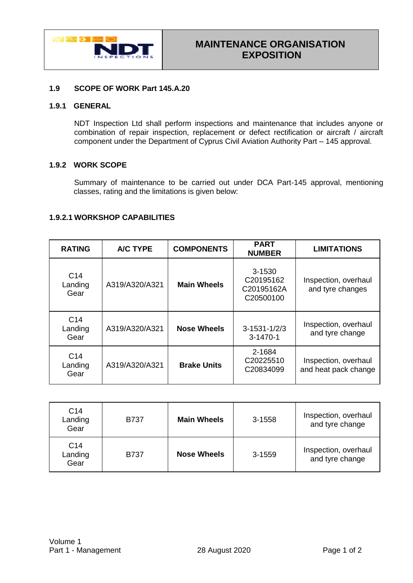

# **1.9 SCOPE OF WORK Part 145.A.20**

### **1.9.1 GENERAL**

NDT Inspection Ltd shall perform inspections and maintenance that includes anyone or combination of repair inspection, replacement or defect rectification or aircraft / aircraft component under the Department of Cyprus Civil Aviation Authority Part – 145 approval.

## **1.9.2 WORK SCOPE**

Summary of maintenance to be carried out under DCA Part-145 approval, mentioning classes, rating and the limitations is given below:

### **1.9.2.1 WORKSHOP CAPABILITIES**

| <b>RATING</b>                      | A/C TYPE       | <b>COMPONENTS</b>  | <b>PART</b><br><b>NUMBER</b>                               | <b>LIMITATIONS</b>                           |
|------------------------------------|----------------|--------------------|------------------------------------------------------------|----------------------------------------------|
| C <sub>14</sub><br>Landing<br>Gear | A319/A320/A321 | <b>Main Wheels</b> | 3-1530<br>C <sub>20195162</sub><br>C20195162A<br>C20500100 | Inspection, overhaul<br>and tyre changes     |
| C <sub>14</sub><br>Landing<br>Gear | A319/A320/A321 | <b>Nose Wheels</b> | $3 - 1531 - 1/2/3$<br>$3-1470-1$                           | Inspection, overhaul<br>and tyre change      |
| C <sub>14</sub><br>Landing<br>Gear | A319/A320/A321 | <b>Brake Units</b> | 2-1684<br>C <sub>20225510</sub><br>C20834099               | Inspection, overhaul<br>and heat pack change |

| C <sub>14</sub><br>Landing<br>Gear | <b>B737</b> | <b>Main Wheels</b> | 3-1558 | Inspection, overhaul<br>and tyre change |
|------------------------------------|-------------|--------------------|--------|-----------------------------------------|
| C <sub>14</sub><br>Landing<br>Gear | <b>B737</b> | <b>Nose Wheels</b> | 3-1559 | Inspection, overhaul<br>and tyre change |